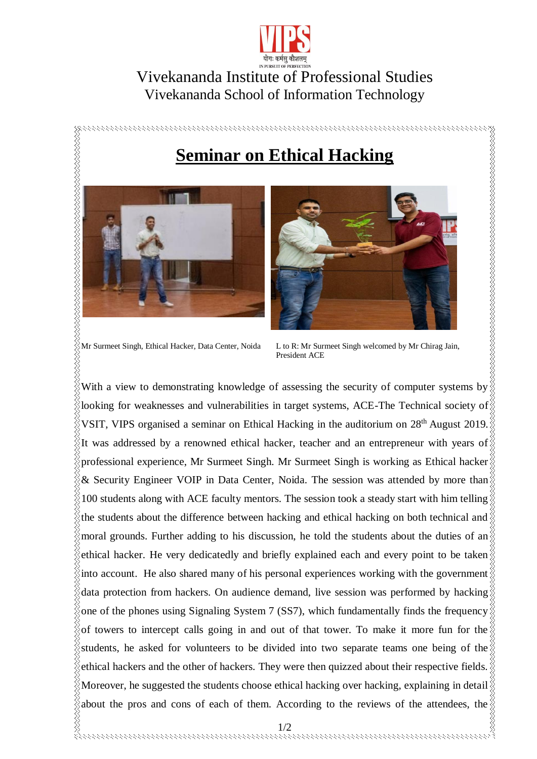

## Vivekananda Institute of Professional Studies Vivekananda School of Information Technology

## **Seminar on Ethical Hacking**





Mr Surmeet Singh, Ethical Hacker, Data Center, Noida L to R: Mr Surmeet Singh welcomed by Mr Chirag Jain, President ACE

With a view to demonstrating knowledge of assessing the security of computer systems by looking for weaknesses and vulnerabilities in target systems, ACE-The Technical society of VSIT, VIPS organised a seminar on Ethical Hacking in the auditorium on  $28<sup>th</sup>$  August 2019. It was addressed by a renowned ethical hacker, teacher and an entrepreneur with years of professional experience, Mr Surmeet Singh. Mr Surmeet Singh is working as Ethical hacker & Security Engineer VOIP in Data Center, Noida. The session was attended by more than 100 students along with ACE faculty mentors. The session took a steady start with him telling the students about the difference between hacking and ethical hacking on both technical and  $\frac{1}{2}$ moral grounds. Further adding to his discussion, he told the students about the duties of an ethical hacker. He very dedicatedly and briefly explained each and every point to be taken into account. He also shared many of his personal experiences working with the government data protection from hackers. On audience demand, live session was performed by hacking one of the phones using Signaling System 7 (SS7), which fundamentally finds the frequency  $\&$ of towers to intercept calls going in and out of that tower. To make it more fun for the students, he asked for volunteers to be divided into two separate teams one being of the ethical hackers and the other of hackers. They were then quizzed about their respective fields. Moreover, he suggested the students choose ethical hacking over hacking, explaining in detail about the pros and cons of each of them. According to the reviews of the attendees, the  $\frac{1}{2}$